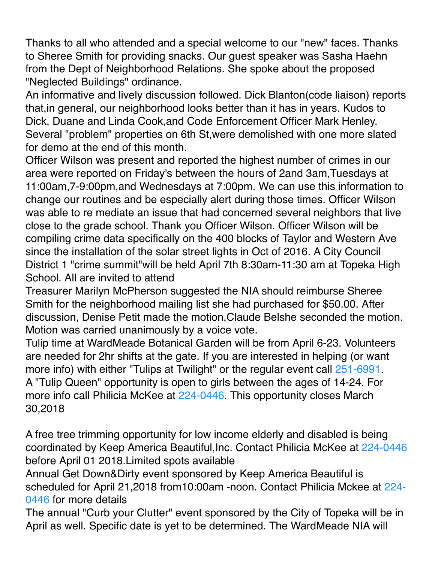Thanks to all who attended and a special welcome to our "new" faces. Thanks to Sheree Smith for providing snacks. Our guest speaker was Sasha Haehn from the Dept of Neighborhood Relations. She spoke about the proposed "Neglected Buildings" ordinance.

An informative and lively discussion followed. Dick Blanton(code liaison) reports that,in general, our neighborhood looks better than it has in years. Kudos to Dick, Duane and Linda Cook,and Code Enforcement Officer Mark Henley. Several "problem" properties on 6th St,were demolished with one more slated for demo at the end of this month.

Officer Wilson was present and reported the highest number of crimes in our area were reported on Friday's between the hours of 2and 3am,Tuesdays at 11:00am,7-9:00pm,and Wednesdays at 7:00pm. We can use this information to change our routines and be especially alert during those times. Officer Wilson was able to re mediate an issue that had concerned several neighbors that live close to the grade school. Thank you Officer Wilson. Officer Wilson will be compiling crime data specifically on the 400 blocks of Taylor and Western Ave since the installation of the solar street lights in Oct of 2016. A City Council District 1 "crime summit"will be held April 7th 8:30am-11:30 am at Topeka High School. All are invited to attend

Treasurer Marilyn McPherson suggested the NIA should reimburse Sheree Smith for the neighborhood mailing list she had purchased for \$50.00. After discussion, Denise Petit made the motion,Claude Belshe seconded the motion. Motion was carried unanimously by a voice vote.

Tulip time at WardMeade Botanical Garden will be from April 6-23. Volunteers are needed for 2hr shifts at the gate. If you are interested in helping (or want more info) with either "Tulips at Twilight" or the regular event call 251-6991. A "Tulip Queen" opportunity is open to girls between the ages of 14-24. For more info call Philicia McKee at 224-0446. This opportunity closes March 30,2018

A free tree trimming opportunity for low income elderly and disabled is being coordinated by Keep America Beautiful,Inc. Contact Philicia McKee at 224-0446 before April 01 2018.Limited spots available

Annual Get Down&Dirty event sponsored by Keep America Beautiful is scheduled for April 21,2018 from10:00am -noon. Contact Philicia Mckee at 224- 0446 for more details

The annual "Curb your Clutter" event sponsored by the City of Topeka will be in April as well. Specific date is yet to be determined. The WardMeade NIA will